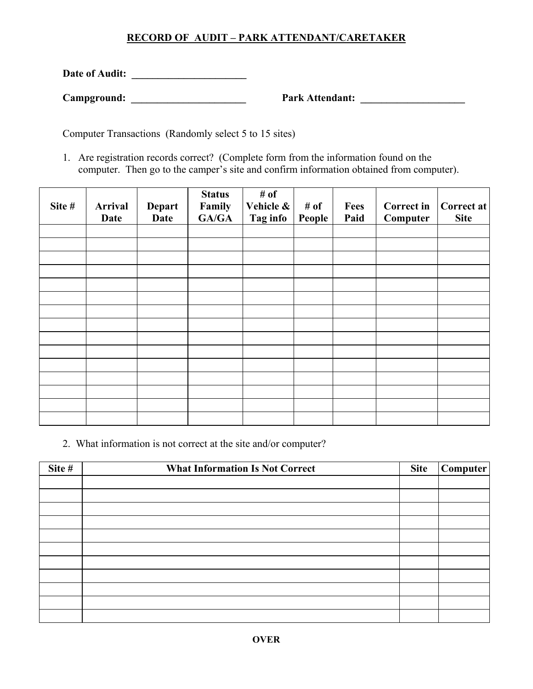## **RECORD OF AUDIT – PARK ATTENDANT/CARETAKER**

**Date of Audit: \_\_\_\_\_\_\_\_\_\_\_\_\_\_\_\_\_\_\_\_\_\_** 

**Campground: \_\_\_\_\_\_\_\_\_\_\_\_\_\_\_\_\_\_\_\_\_\_ Park Attendant: \_\_\_\_\_\_\_\_\_\_\_\_\_\_\_\_\_\_\_\_** 

Computer Transactions (Randomly select 5 to 15 sites)

1. Are registration records correct? (Complete form from the information found on the computer. Then go to the camper's site and confirm information obtained from computer).

| Site # | Arrival<br>Date | Depart<br><b>Date</b> | <b>Status</b><br>Family<br>GA/GA | # of<br>Vehicle &<br>Tag info | # of<br>People | Fees<br>Paid | <b>Correct in</b><br>Computer | Correct at<br><b>Site</b> |
|--------|-----------------|-----------------------|----------------------------------|-------------------------------|----------------|--------------|-------------------------------|---------------------------|
|        |                 |                       |                                  |                               |                |              |                               |                           |
|        |                 |                       |                                  |                               |                |              |                               |                           |
|        |                 |                       |                                  |                               |                |              |                               |                           |
|        |                 |                       |                                  |                               |                |              |                               |                           |
|        |                 |                       |                                  |                               |                |              |                               |                           |
|        |                 |                       |                                  |                               |                |              |                               |                           |
|        |                 |                       |                                  |                               |                |              |                               |                           |
|        |                 |                       |                                  |                               |                |              |                               |                           |
|        |                 |                       |                                  |                               |                |              |                               |                           |
|        |                 |                       |                                  |                               |                |              |                               |                           |
|        |                 |                       |                                  |                               |                |              |                               |                           |
|        |                 |                       |                                  |                               |                |              |                               |                           |
|        |                 |                       |                                  |                               |                |              |                               |                           |
|        |                 |                       |                                  |                               |                |              |                               |                           |
|        |                 |                       |                                  |                               |                |              |                               |                           |

2. What information is not correct at the site and/or computer?

| Site # | <b>What Information Is Not Correct</b> | <b>Site</b> | Computer |
|--------|----------------------------------------|-------------|----------|
|        |                                        |             |          |
|        |                                        |             |          |
|        |                                        |             |          |
|        |                                        |             |          |
|        |                                        |             |          |
|        |                                        |             |          |
|        |                                        |             |          |
|        |                                        |             |          |
|        |                                        |             |          |
|        |                                        |             |          |
|        |                                        |             |          |